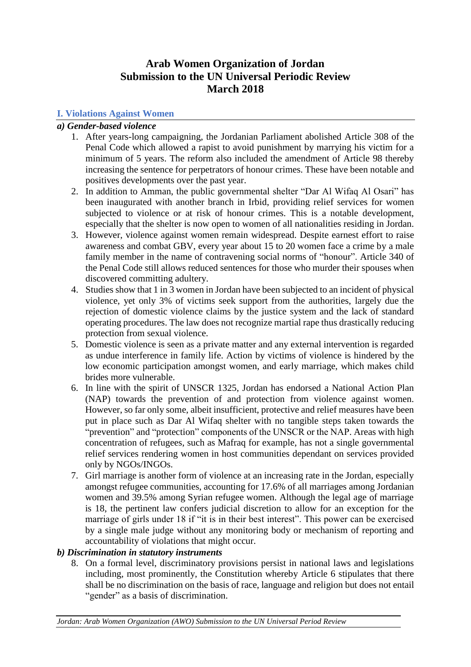# **Arab Women Organization of Jordan Submission to the UN Universal Periodic Review March 2018**

## **I. Violations Against Women**

## *a) Gender-based violence*

- 1. After years-long campaigning, the Jordanian Parliament abolished Article 308 of the Penal Code which allowed a rapist to avoid punishment by marrying his victim for a minimum of 5 years. The reform also included the amendment of Article 98 thereby increasing the sentence for perpetrators of honour crimes. These have been notable and positives developments over the past year.
- 2. In addition to Amman, the public governmental shelter "Dar Al Wifaq Al Osari" has been inaugurated with another branch in Irbid, providing relief services for women subjected to violence or at risk of honour crimes. This is a notable development, especially that the shelter is now open to women of all nationalities residing in Jordan.
- 3. However, violence against women remain widespread. Despite earnest effort to raise awareness and combat GBV, every year about 15 to 20 women face a crime by a male family member in the name of contravening social norms of "honour". Article 340 of the Penal Code still allows reduced sentences for those who murder their spouses when discovered committing adultery.
- 4. Studies show that 1 in 3 women in Jordan have been subjected to an incident of physical violence, yet only 3% of victims seek support from the authorities, largely due the rejection of domestic violence claims by the justice system and the lack of standard operating procedures. The law does not recognize martial rape thus drastically reducing protection from sexual violence.
- 5. Domestic violence is seen as a private matter and any external intervention is regarded as undue interference in family life. Action by victims of violence is hindered by the low economic participation amongst women, and early marriage, which makes child brides more vulnerable.
- 6. In line with the spirit of UNSCR 1325, Jordan has endorsed a National Action Plan (NAP) towards the prevention of and protection from violence against women. However, so far only some, albeit insufficient, protective and relief measures have been put in place such as Dar Al Wifaq shelter with no tangible steps taken towards the "prevention" and "protection" components of the UNSCR or the NAP. Areas with high concentration of refugees, such as Mafraq for example, has not a single governmental relief services rendering women in host communities dependant on services provided only by NGOs/INGOs.
- 7. Girl marriage is another form of violence at an increasing rate in the Jordan, especially amongst refugee communities, accounting for 17.6% of all marriages among Jordanian women and 39.5% among Syrian refugee women. Although the legal age of marriage is 18, the pertinent law confers judicial discretion to allow for an exception for the marriage of girls under 18 if "it is in their best interest". This power can be exercised by a single male judge without any monitoring body or mechanism of reporting and accountability of violations that might occur.

## *b) Discrimination in statutory instruments*

8. On a formal level, discriminatory provisions persist in national laws and legislations including, most prominently, the Constitution whereby Article 6 stipulates that there shall be no discrimination on the basis of race, language and religion but does not entail "gender" as a basis of discrimination.

*Jordan: Arab Women Organization (AWO) Submission to the UN Universal Period Review*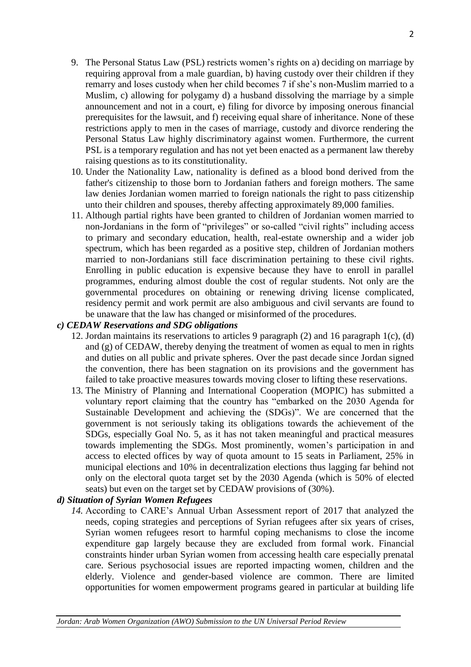- 9. The Personal Status Law (PSL) restricts women's rights on a) deciding on marriage by requiring approval from a male guardian, b) having custody over their children if they remarry and loses custody when her child becomes 7 if she's non-Muslim married to a Muslim, c) allowing for polygamy d) a husband dissolving the marriage by a simple announcement and not in a court, e) filing for divorce by imposing onerous financial prerequisites for the lawsuit, and f) receiving equal share of inheritance. None of these restrictions apply to men in the cases of marriage, custody and divorce rendering the Personal Status Law highly discriminatory against women. Furthermore, the current PSL is a temporary regulation and has not yet been enacted as a permanent law thereby raising questions as to its constitutionality.
- 10. Under the Nationality Law, nationality is defined as a blood bond derived from the father's citizenship to those born to Jordanian fathers and foreign mothers. The same law denies Jordanian women married to foreign nationals the right to pass citizenship unto their children and spouses, thereby affecting approximately 89,000 families.
- 11. Although partial rights have been granted to children of Jordanian women married to non-Jordanians in the form of "privileges" or so-called "civil rights" including access to primary and secondary education, health, real-estate ownership and a wider job spectrum, which has been regarded as a positive step, children of Jordanian mothers married to non-Jordanians still face discrimination pertaining to these civil rights. Enrolling in public education is expensive because they have to enroll in parallel programmes, enduring almost double the cost of regular students. Not only are the governmental procedures on obtaining or renewing driving license complicated, residency permit and work permit are also ambiguous and civil servants are found to be unaware that the law has changed or misinformed of the procedures.

## *c) CEDAW Reservations and SDG obligations*

- 12. Jordan maintains its reservations to articles 9 paragraph (2) and 16 paragraph 1(c), (d) and (g) of CEDAW, thereby denying the treatment of women as equal to men in rights and duties on all public and private spheres. Over the past decade since Jordan signed the convention, there has been stagnation on its provisions and the government has failed to take proactive measures towards moving closer to lifting these reservations.
- 13. The Ministry of Planning and International Cooperation (MOPIC) has submitted a voluntary report claiming that the country has "embarked on the 2030 Agenda for Sustainable Development and achieving the (SDGs)". We are concerned that the government is not seriously taking its obligations towards the achievement of the SDGs, especially Goal No. 5, as it has not taken meaningful and practical measures towards implementing the SDGs. Most prominently, women's participation in and access to elected offices by way of quota amount to 15 seats in Parliament, 25% in municipal elections and 10% in decentralization elections thus lagging far behind not only on the electoral quota target set by the 2030 Agenda (which is 50% of elected seats) but even on the target set by CEDAW provisions of (30%).

## *d) Situation of Syrian Women Refugees*

*14.* According to CARE's Annual Urban Assessment report of 2017 that analyzed the needs, coping strategies and perceptions of Syrian refugees after six years of crises, Syrian women refugees resort to harmful coping mechanisms to close the income expenditure gap largely because they are excluded from formal work. Financial constraints hinder urban Syrian women from accessing health care especially prenatal care. Serious psychosocial issues are reported impacting women, children and the elderly. Violence and gender-based violence are common. There are limited opportunities for women empowerment programs geared in particular at building life

*Jordan: Arab Women Organization (AWO) Submission to the UN Universal Period Review*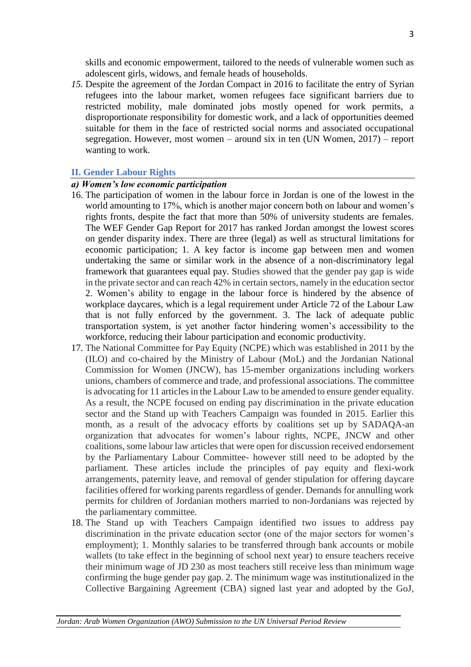skills and economic empowerment, tailored to the needs of vulnerable women such as adolescent girls, widows, and female heads of households.

*15.* Despite the agreement of the Jordan Compact in 2016 to facilitate the entry of Syrian refugees into the labour market, women refugees face significant barriers due to restricted mobility, male dominated jobs mostly opened for work permits, a disproportionate responsibility for domestic work, and a lack of opportunities deemed suitable for them in the face of restricted social norms and associated occupational segregation. However, most women – around six in ten (UN Women, 2017) – report wanting to work.

#### **II. Gender Labour Rights**

#### *a) Women's low economic participation*

- 16. The participation of women in the labour force in Jordan is one of the lowest in the world amounting to 17%, which is another major concern both on labour and women's rights fronts, despite the fact that more than 50% of university students are females. The WEF Gender Gap Report for 2017 has ranked Jordan amongst the lowest scores on gender disparity index. There are three (legal) as well as structural limitations for economic participation; 1. A key factor is income gap between men and women undertaking the same or similar work in the absence of a non-discriminatory legal framework that guarantees equal pay. Studies showed that the gender pay gap is wide in the private sector and can reach 42% in certain sectors, namely in the education sector 2. Women's ability to engage in the labour force is hindered by the absence of workplace daycares, which is a legal requirement under Article 72 of the Labour Law that is not fully enforced by the government. 3. The lack of adequate public transportation system, is yet another factor hindering women's accessibility to the workforce, reducing their labour participation and economic productivity.
- 17. The National Committee for Pay Equity (NCPE) which was established in 2011 by the (ILO) and co-chaired by the Ministry of Labour (MoL) and the Jordanian National Commission for Women (JNCW), has 15-member organizations including workers unions, chambers of commerce and trade, and professional associations. The committee is advocating for 11 articles in the Labour Law to be amended to ensure gender equality. As a result, the NCPE focused on ending pay discrimination in the private education sector and the Stand up with Teachers Campaign was founded in 2015. Earlier this month, as a result of the advocacy efforts by coalitions set up by SADAQA-an organization that advocates for women's labour rights, NCPE, JNCW and other coalitions, some labour law articles that were open for discussion received endorsement by the Parliamentary Labour Committee- however still need to be adopted by the parliament. These articles include the principles of pay equity and flexi-work arrangements, paternity leave, and removal of gender stipulation for offering daycare facilities offered for working parents regardless of gender. Demands for annulling work permits for children of Jordanian mothers married to non-Jordanians was rejected by the parliamentary committee.
- 18. The Stand up with Teachers Campaign identified two issues to address pay discrimination in the private education sector (one of the major sectors for women's employment); 1. Monthly salaries to be transferred through bank accounts or mobile wallets (to take effect in the beginning of school next year) to ensure teachers receive their minimum wage of JD 230 as most teachers still receive less than minimum wage confirming the huge gender pay gap. 2. The minimum wage was institutionalized in the Collective Bargaining Agreement (CBA) signed last year and adopted by the GoJ,

*Jordan: Arab Women Organization (AWO) Submission to the UN Universal Period Review*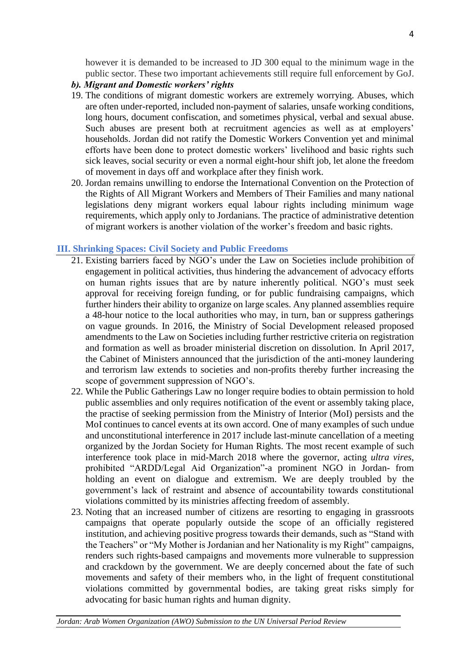however it is demanded to be increased to JD 300 equal to the minimum wage in the public sector. These two important achievements still require full enforcement by GoJ.

- *b). Migrant and Domestic workers' rights*
- 19. The conditions of migrant domestic workers are extremely worrying. Abuses, which are often under-reported, included non-payment of salaries, unsafe working conditions, long hours, document confiscation, and sometimes physical, verbal and sexual abuse. Such abuses are present both at recruitment agencies as well as at employers' households. Jordan did not ratify the Domestic Workers Convention yet and minimal efforts have been done to protect domestic workers' livelihood and basic rights such sick leaves, social security or even a normal eight-hour shift job, let alone the freedom of movement in days off and workplace after they finish work.
- 20. Jordan remains unwilling to endorse the International Convention on the Protection of the Rights of All Migrant Workers and Members of Their Families and many national legislations deny migrant workers equal labour rights including minimum wage requirements, which apply only to Jordanians. The practice of administrative detention of migrant workers is another violation of the worker's freedom and basic rights.

#### **III. Shrinking Spaces: Civil Society and Public Freedoms**

- 21. Existing barriers faced by NGO's under the Law on Societies include prohibition of engagement in political activities, thus hindering the advancement of advocacy efforts on human rights issues that are by nature inherently political. NGO's must seek approval for receiving foreign funding, or for public fundraising campaigns, which further hinders their ability to organize on large scales. Any planned assemblies require a 48-hour notice to the local authorities who may, in turn, ban or suppress gatherings on vague grounds. In 2016, the Ministry of Social Development released proposed amendments to the Law on Societies including further restrictive criteria on registration and formation as well as broader ministerial discretion on dissolution. In April 2017, the Cabinet of Ministers announced that the jurisdiction of the anti-money laundering and terrorism law extends to societies and non-profits thereby further increasing the scope of government suppression of NGO's.
- 22. While the Public Gatherings Law no longer require bodies to obtain permission to hold public assemblies and only requires notification of the event or assembly taking place, the practise of seeking permission from the Ministry of Interior (MoI) persists and the MoI continues to cancel events at its own accord. One of many examples of such undue and unconstitutional interference in 2017 include last-minute cancellation of a meeting organized by the Jordan Society for Human Rights. The most recent example of such interference took place in mid-March 2018 where the governor, acting *ultra vires*, prohibited "ARDD/Legal Aid Organization"-a prominent NGO in Jordan- from holding an event on dialogue and extremism. We are deeply troubled by the government's lack of restraint and absence of accountability towards constitutional violations committed by its ministries affecting freedom of assembly.
- 23. Noting that an increased number of citizens are resorting to engaging in grassroots campaigns that operate popularly outside the scope of an officially registered institution, and achieving positive progress towards their demands, such as "Stand with the Teachers" or "My Mother is Jordanian and her Nationality is my Right" campaigns, renders such rights-based campaigns and movements more vulnerable to suppression and crackdown by the government. We are deeply concerned about the fate of such movements and safety of their members who, in the light of frequent constitutional violations committed by governmental bodies, are taking great risks simply for advocating for basic human rights and human dignity.

*Jordan: Arab Women Organization (AWO) Submission to the UN Universal Period Review*